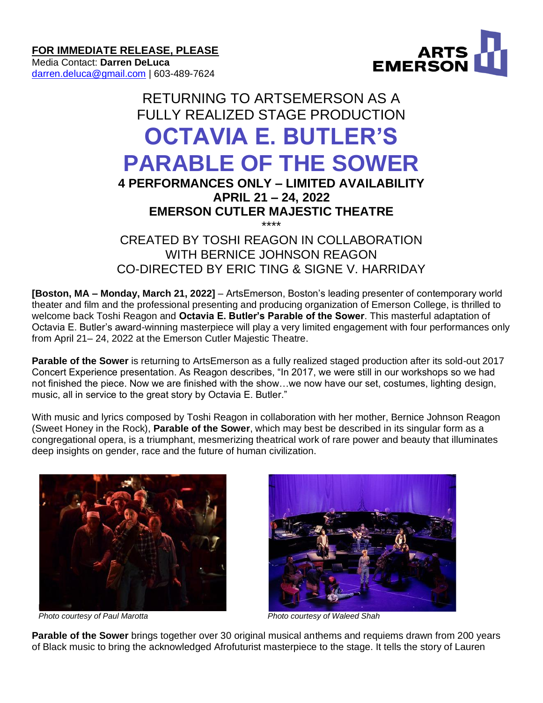**FOR IMMEDIATE RELEASE, PLEASE**

Media Contact: **Darren DeLuca** [darren.deluca@gmail.com](mailto:darren.deluca@gmail.com) | 603-489-7624



# RETURNING TO ARTSEMERSON AS A FULLY REALIZED STAGE PRODUCTION **OCTAVIA E. BUTLER'S PARABLE OF THE SOWER 4 PERFORMANCES ONLY – LIMITED AVAILABILITY**

## **APRIL 21 – 24, 2022 EMERSON CUTLER MAJESTIC THEATRE**

\*\*\*\* CREATED BY TOSHI REAGON IN COLLABORATION WITH BERNICE JOHNSON REAGON CO-DIRECTED BY ERIC TING & SIGNE V. HARRIDAY

**[Boston, MA – Monday, March 21, 2022]** – ArtsEmerson, Boston's leading presenter of contemporary world theater and film and the professional presenting and producing organization of Emerson College, is thrilled to welcome back Toshi Reagon and **Octavia E. Butler's Parable of the Sower**. This masterful adaptation of Octavia E. Butler's award-winning masterpiece will play a very limited engagement with four performances only from April 21– 24, 2022 at the Emerson Cutler Majestic Theatre.

**Parable of the Sower** is returning to ArtsEmerson as a fully realized staged production after its sold-out 2017 Concert Experience presentation. As Reagon describes, "In 2017, we were still in our workshops so we had not finished the piece. Now we are finished with the show…we now have our set, costumes, lighting design, music, all in service to the great story by Octavia E. Butler."

With music and lyrics composed by Toshi Reagon in collaboration with her mother, Bernice Johnson Reagon (Sweet Honey in the Rock), **Parable of the Sower**, which may best be described in its singular form as a congregational opera, is a triumphant, mesmerizing theatrical work of rare power and beauty that illuminates deep insights on gender, race and the future of human civilization.





*Photo courtesy of Paul Marotta Photo courtesy of Waleed Shah*

**Parable of the Sower** brings together over 30 original musical anthems and requiems drawn from 200 years of Black music to bring the acknowledged Afrofuturist masterpiece to the stage. It tells the story of Lauren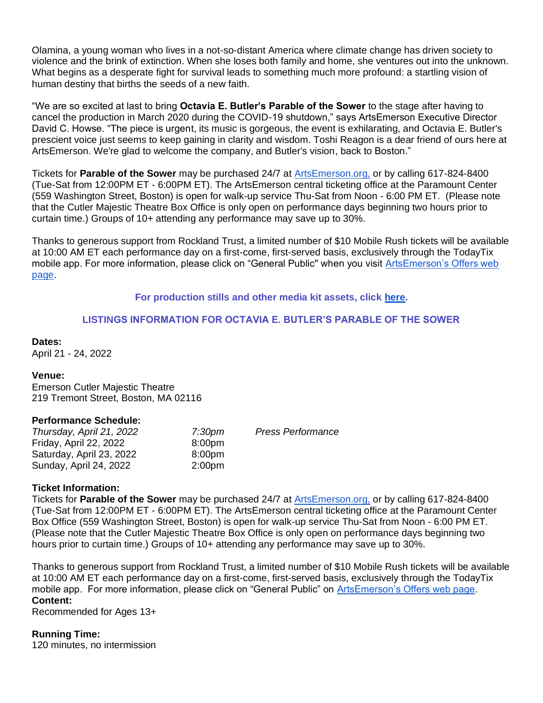Olamina, a young woman who lives in a not-so-distant America where climate change has driven society to violence and the brink of extinction. When she loses both family and home, she ventures out into the unknown. What begins as a desperate fight for survival leads to something much more profound: a startling vision of human destiny that births the seeds of a new faith.

"We are so excited at last to bring **Octavia E. Butler's Parable of the Sower** to the stage after having to cancel the production in March 2020 during the COVID-19 shutdown," says ArtsEmerson Executive Director David C. Howse. "The piece is urgent, its music is gorgeous, the event is exhilarating, and Octavia E. Butler's prescient voice just seems to keep gaining in clarity and wisdom. Toshi Reagon is a dear friend of ours here at ArtsEmerson. We're glad to welcome the company, and Butler's vision, back to Boston."

Tickets for **Parable of the Sower** may be purchased 24/7 at [ArtsEmerson.org,](https://artsemerson.org/events/iphigenia/) or by calling 617-824-8400 (Tue-Sat from 12:00PM ET - 6:00PM ET). The ArtsEmerson central ticketing office at the Paramount Center (559 Washington Street, Boston) is open for walk-up service Thu-Sat from Noon - 6:00 PM ET. (Please note that the Cutler Majestic Theatre Box Office is only open on performance days beginning two hours prior to curtain time.) Groups of 10+ attending any performance may save up to 30%.

Thanks to generous support from Rockland Trust, a limited number of \$10 Mobile Rush tickets will be available at 10:00 AM ET each performance day on a first-come, first-served basis, exclusively through the TodayTix mobile app. For more information, please click on "General Public'' when you visit [ArtsEmerson's Offers web](https://artsemerson.org/packages-offers/offers/)  [page.](https://artsemerson.org/packages-offers/offers/)

#### **For production stills and other media kit assets, click [here.](https://tickets.artsemerson.org/Online/default.asp?doWork::WScontent::loadArticle=Load&BOparam::WScontent::loadArticle::article_id=B1C9A16E-C1A8-43A5-B039-1A8B43C10B21)**

#### **LISTINGS INFORMATION FOR OCTAVIA E. BUTLER'S PARABLE OF THE SOWER**

**Dates:**

April 21 - 24, 2022

#### **Venue:**

Emerson Cutler Majestic Theatre 219 Tremont Street, Boston, MA 02116

#### **Performance Schedule:**

| Thursday, April 21, 2022 | 7:30pm             | <b>Press Performance</b> |
|--------------------------|--------------------|--------------------------|
| Friday, April 22, 2022   | 8:00 <sub>pm</sub> |                          |
| Saturday, April 23, 2022 | 8:00 <sub>pm</sub> |                          |
| Sunday, April 24, 2022   | 2:00 <sub>pm</sub> |                          |

#### **Ticket Information:**

Tickets for **Parable of the Sower** may be purchased 24/7 at [ArtsEmerson.org,](https://artsemerson.org/events/iphigenia/) or by calling 617-824-8400 (Tue-Sat from 12:00PM ET - 6:00PM ET). The ArtsEmerson central ticketing office at the Paramount Center Box Office (559 Washington Street, Boston) is open for walk-up service Thu-Sat from Noon - 6:00 PM ET. (Please note that the Cutler Majestic Theatre Box Office is only open on performance days beginning two hours prior to curtain time.) Groups of 10+ attending any performance may save up to 30%.

Thanks to generous support from Rockland Trust, a limited number of \$10 Mobile Rush tickets will be available at 10:00 AM ET each performance day on a first-come, first-served basis, exclusively through the TodayTix mobile app. For more information, please click on "General Public" on [ArtsEmerson's Offers web page.](https://artsemerson.org/packages-offers/offers/) **Content:**

Recommended for Ages 13+

#### **Running Time:**

120 minutes, no intermission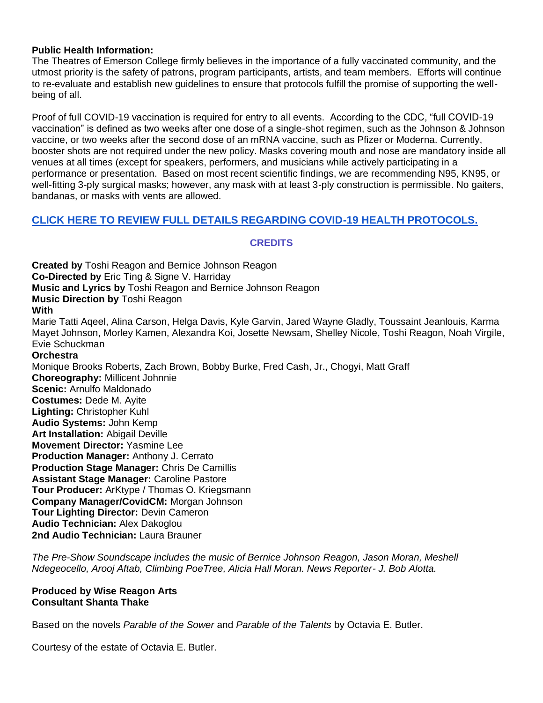#### **Public Health Information:**

The Theatres of Emerson College firmly believes in the importance of a fully vaccinated community, and the utmost priority is the safety of patrons, program participants, artists, and team members. Efforts will continue to re-evaluate and establish new guidelines to ensure that protocols fulfill the promise of supporting the wellbeing of all.

Proof of full COVID-19 vaccination is required for entry to all events. According to the CDC, "full COVID-19 vaccination" is defined as two weeks after one dose of a single-shot regimen, such as the Johnson & Johnson vaccine, or two weeks after the second dose of an mRNA vaccine, such as Pfizer or Moderna. Currently, booster shots are not required under the new policy. Masks covering mouth and nose are mandatory inside all venues at all times (except for speakers, performers, and musicians while actively participating in a performance or presentation. Based on most recent scientific findings, we are recommending N95, KN95, or well-fitting 3-ply surgical masks; however, any mask with at least 3-ply construction is permissible. No gaiters, bandanas, or masks with vents are allowed.

### **[CLICK HERE TO REVIEW FULL DETAILS REGARDING COVID-19 HEALTH PROTOCOLS.](https://artsemerson.org/visit/public-health/)**

#### **CREDITS**

**Created by** Toshi Reagon and Bernice Johnson Reagon **Co-Directed by** Eric Ting & Signe V. Harriday **Music and Lyrics by** Toshi Reagon and Bernice Johnson Reagon **Music Direction by** Toshi Reagon **With** Marie Tatti Aqeel, Alina Carson, Helga Davis, Kyle Garvin, Jared Wayne Gladly, Toussaint Jeanlouis, Karma Mayet Johnson, Morley Kamen, Alexandra Koi, Josette Newsam, Shelley Nicole, Toshi Reagon, Noah Virgile, Evie Schuckman **Orchestra** Monique Brooks Roberts, Zach Brown, Bobby Burke, Fred Cash, Jr., Chogyi, Matt Graff **Choreography:** Millicent Johnnie **Scenic:** Arnulfo Maldonado **Costumes:** Dede M. Ayite **Lighting:** Christopher Kuhl **Audio Systems:** John Kemp **Art Installation:** Abigail Deville **Movement Director:** Yasmine Lee **Production Manager:** Anthony J. Cerrato **Production Stage Manager:** Chris De Camillis **Assistant Stage Manager:** Caroline Pastore **Tour Producer:** ArKtype / Thomas O. Kriegsmann **Company Manager/CovidCM:** Morgan Johnson **Tour Lighting Director:** Devin Cameron **Audio Technician:** Alex Dakoglou **2nd Audio Technician:** Laura Brauner

*The Pre-Show Soundscape includes the music of Bernice Johnson Reagon, Jason Moran, Meshell Ndegeocello, Arooj Aftab, Climbing PoeTree, Alicia Hall Moran. News Reporter- J. Bob Alotta.* 

#### **Produced by Wise Reagon Arts Consultant Shanta Thake**

Based on the novels *Parable of the Sower* and *Parable of the Talents* by Octavia E. Butler.

Courtesy of the estate of Octavia E. Butler.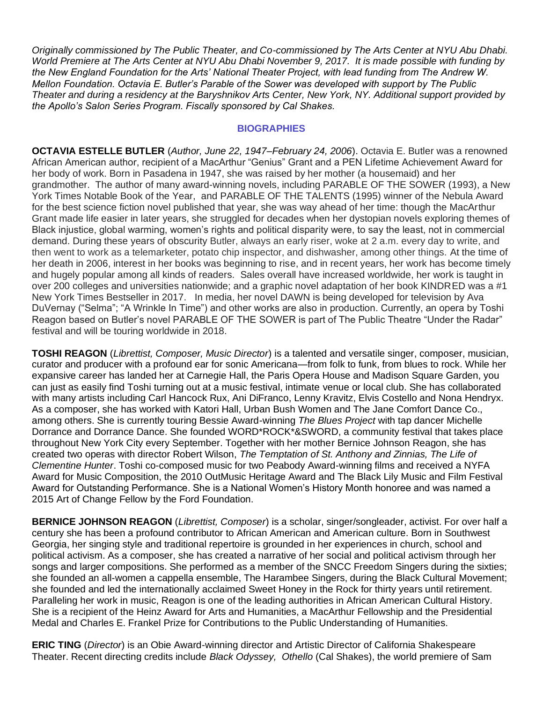*Originally commissioned by The Public Theater, and Co-commissioned by The Arts Center at NYU Abu Dhabi. World Premiere at The Arts Center at NYU Abu Dhabi November 9, 2017. It is made possible with funding by the New England Foundation for the Arts' National Theater Project, with lead funding from The Andrew W. Mellon Foundation. Octavia E. Butler's Parable of the Sower was developed with support by The Public Theater and during a residency at the Baryshnikov Arts Center, New York, NY. Additional support provided by the Apollo's Salon Series Program. Fiscally sponsored by Cal Shakes.*

#### **BIOGRAPHIES**

**OCTAVIA ESTELLE BUTLER** (*Author, June 22, 1947–February 24, 2006*). Octavia E. Butler was a renowned African American author, recipient of a MacArthur "Genius" Grant and a PEN Lifetime Achievement Award for her body of work. Born in Pasadena in 1947, she was raised by her mother (a housemaid) and her grandmother. The author of many award-winning novels, including PARABLE OF THE SOWER (1993), a New York Times Notable Book of the Year, and PARABLE OF THE TALENTS (1995) winner of the Nebula Award for the best science fiction novel published that year, she was way ahead of her time: though the MacArthur Grant made life easier in later years, she struggled for decades when her dystopian novels exploring themes of Black injustice, global warming, women's rights and political disparity were, to say the least, not in commercial demand. During these years of obscurity Butler, always an early riser, woke at 2 a.m. every day to write, and then went to work as a telemarketer, potato chip inspector, and dishwasher, among other things. At the time of her death in 2006, interest in her books was beginning to rise, and in recent years, her work has become timely and hugely popular among all kinds of readers. Sales overall have increased worldwide, her work is taught in over 200 colleges and universities nationwide; and a graphic novel adaptation of her book KINDRED was a #1 New York Times Bestseller in 2017. In media, her novel DAWN is being developed for television by Ava DuVernay ("Selma"; "A Wrinkle In Time") and other works are also in production. Currently, an opera by Toshi Reagon based on Butler's novel PARABLE OF THE SOWER is part of The Public Theatre "Under the Radar" festival and will be touring worldwide in 2018.

**TOSHI REAGON** (*Librettist, Composer, Music Director*) is a talented and versatile singer, composer, musician, curator and producer with a profound ear for sonic Americana—from folk to funk, from blues to rock. While her expansive career has landed her at Carnegie Hall, the Paris Opera House and Madison Square Garden, you can just as easily find Toshi turning out at a music festival, intimate venue or local club. She has collaborated with many artists including Carl Hancock Rux, Ani DiFranco, Lenny Kravitz, Elvis Costello and Nona Hendryx. As a composer, she has worked with Katori Hall, Urban Bush Women and The Jane Comfort Dance Co., among others. She is currently touring Bessie Award-winning *The Blues Project* with tap dancer Michelle Dorrance and Dorrance Dance. She founded WORD\*ROCK\*&SWORD, a community festival that takes place throughout New York City every September. Together with her mother Bernice Johnson Reagon, she has created two operas with director Robert Wilson, *The Temptation of St. Anthony and Zinnias, The Life of Clementine Hunter*. Toshi co-composed music for two Peabody Award-winning films and received a NYFA Award for Music Composition, the 2010 OutMusic Heritage Award and The Black Lily Music and Film Festival Award for Outstanding Performance. She is a National Women's History Month honoree and was named a 2015 Art of Change Fellow by the Ford Foundation.

**BERNICE JOHNSON REAGON** (*Librettist, Composer*) is a scholar, singer/songleader, activist. For over half a century she has been a profound contributor to African American and American culture. Born in Southwest Georgia, her singing style and traditional repertoire is grounded in her experiences in church, school and political activism. As a composer, she has created a narrative of her social and political activism through her songs and larger compositions. She performed as a member of the SNCC Freedom Singers during the sixties; she founded an all-women a cappella ensemble, The Harambee Singers, during the Black Cultural Movement; she founded and led the internationally acclaimed Sweet Honey in the Rock for thirty years until retirement. Paralleling her work in music, Reagon is one of the leading authorities in African American Cultural History. She is a recipient of the Heinz Award for Arts and Humanities, a MacArthur Fellowship and the Presidential Medal and Charles E. Frankel Prize for Contributions to the Public Understanding of Humanities.

**ERIC TING** (*Director*) is an Obie Award-winning director and Artistic Director of California Shakespeare Theater. Recent directing credits include *Black Odyssey, Othello* (Cal Shakes), the world premiere of Sam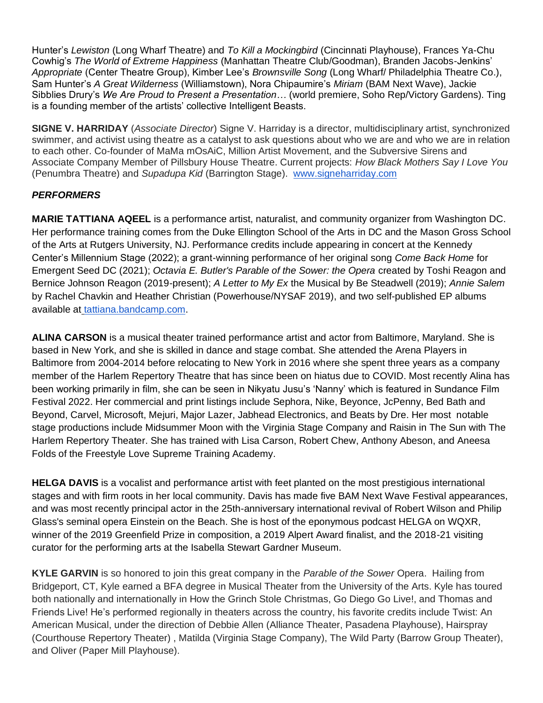Hunter's *Lewiston* (Long Wharf Theatre) and *To Kill a Mockingbird* (Cincinnati Playhouse), Frances Ya-Chu Cowhig's *The World of Extreme Happiness* (Manhattan Theatre Club/Goodman), Branden Jacobs-Jenkins' *Appropriate* (Center Theatre Group), Kimber Lee's *Brownsville Song* (Long Wharf/ Philadelphia Theatre Co.), Sam Hunter's *A Great Wilderness* (Williamstown), Nora Chipaumire's *Miriam* (BAM Next Wave), Jackie Sibblies Drury's *We Are Proud to Present a Presentation…* (world premiere, Soho Rep/Victory Gardens). Ting is a founding member of the artists' collective Intelligent Beasts.

**SIGNE V. HARRIDAY** (*Associate Director*) Signe V. Harriday is a director, multidisciplinary artist, synchronized swimmer, and activist using theatre as a catalyst to ask questions about who we are and who we are in relation to each other. Co-founder of MaMa mOsAiC, Million Artist Movement, and the Subversive Sirens and Associate Company Member of Pillsbury House Theatre. Current projects: *How Black Mothers Say I Love You* (Penumbra Theatre) and *Supadupa Kid* (Barrington Stage). [www.signeharriday.com](http://www.signeharriday.com/)

## *PERFORMERS*

**MARIE TATTIANA AQEEL** is a performance artist, naturalist, and community organizer from Washington DC. Her performance training comes from the Duke Ellington School of the Arts in DC and the Mason Gross School of the Arts at Rutgers University, NJ. Performance credits include appearing in concert at the Kennedy Center's Millennium Stage (2022); a grant-winning performance of her original song *Come Back Home* for Emergent Seed DC (2021); *Octavia E. Butler's Parable of the Sower: the Opera* created by Toshi Reagon and Bernice Johnson Reagon (2019-present); *A Letter to My Ex* the Musical by Be Steadwell (2019); *Annie Salem* by Rachel Chavkin and Heather Christian (Powerhouse/NYSAF 2019), and two self-published EP albums available a[t](http://tattiana.bandcamp.com/) [tattiana.bandcamp.com.](http://tattiana.bandcamp.com/)

**ALINA CARSON** is a musical theater trained performance artist and actor from Baltimore, Maryland. She is based in New York, and she is skilled in dance and stage combat. She attended the Arena Players in Baltimore from 2004-2014 before relocating to New York in 2016 where she spent three years as a company member of the Harlem Repertory Theatre that has since been on hiatus due to COVID. Most recently Alina has been working primarily in film, she can be seen in Nikyatu Jusu's 'Nanny' which is featured in Sundance Film Festival 2022. Her commercial and print listings include Sephora, Nike, Beyonce, JcPenny, Bed Bath and Beyond, Carvel, Microsoft, Mejuri, Major Lazer, Jabhead Electronics, and Beats by Dre. Her most notable stage productions include Midsummer Moon with the Virginia Stage Company and Raisin in The Sun with The Harlem Repertory Theater. She has trained with Lisa Carson, Robert Chew, Anthony Abeson, and Aneesa Folds of the Freestyle Love Supreme Training Academy.

**HELGA DAVIS** is a vocalist and performance artist with feet planted on the most prestigious international stages and with firm roots in her local community. Davis has made five BAM Next Wave Festival appearances, and was most recently principal actor in the 25th-anniversary international revival of Robert Wilson and Philip Glass's seminal opera Einstein on the Beach. She is host of the eponymous podcast HELGA on WQXR, winner of the 2019 Greenfield Prize in composition, a 2019 Alpert Award finalist, and the 2018-21 visiting curator for the performing arts at the Isabella Stewart Gardner Museum.

**KYLE GARVIN** is so honored to join this great company in the *Parable of the Sower* Opera. Hailing from Bridgeport, CT, Kyle earned a BFA degree in Musical Theater from the University of the Arts. Kyle has toured both nationally and internationally in How the Grinch Stole Christmas, Go Diego Go Live!, and Thomas and Friends Live! He's performed regionally in theaters across the country, his favorite credits include Twist: An American Musical, under the direction of Debbie Allen (Alliance Theater, Pasadena Playhouse), Hairspray (Courthouse Repertory Theater) , Matilda (Virginia Stage Company), The Wild Party (Barrow Group Theater), and Oliver (Paper Mill Playhouse).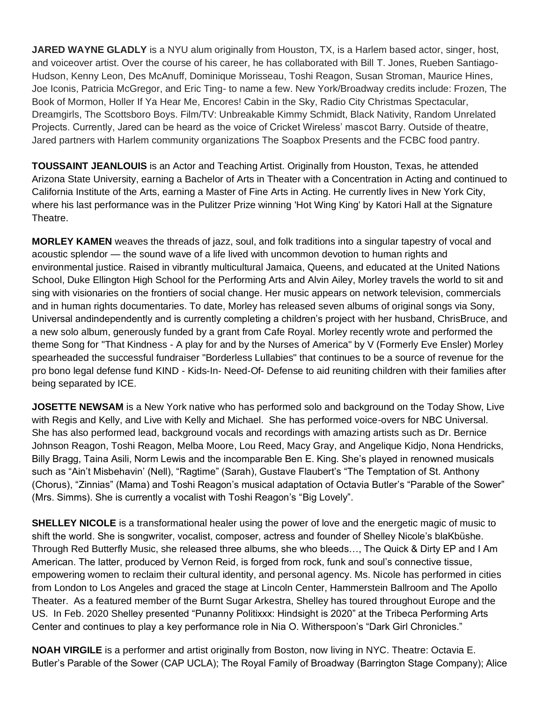**JARED WAYNE GLADLY** is a NYU alum originally from Houston, TX, is a Harlem based actor, singer, host, and voiceover artist. Over the course of his career, he has collaborated with Bill T. Jones, Rueben Santiago-Hudson, Kenny Leon, Des McAnuff, Dominique Morisseau, Toshi Reagon, Susan Stroman, Maurice Hines, Joe Iconis, Patricia McGregor, and Eric Ting- to name a few. New York/Broadway credits include: Frozen, The Book of Mormon, Holler If Ya Hear Me, Encores! Cabin in the Sky, Radio City Christmas Spectacular, Dreamgirls, The Scottsboro Boys. Film/TV: Unbreakable Kimmy Schmidt, Black Nativity, Random Unrelated Projects. Currently, Jared can be heard as the voice of Cricket Wireless' mascot Barry. Outside of theatre, Jared partners with Harlem community organizations The Soapbox Presents and the FCBC food pantry.

**TOUSSAINT JEANLOUIS** is an Actor and Teaching Artist. Originally from Houston, Texas, he attended Arizona State University, earning a Bachelor of Arts in Theater with a Concentration in Acting and continued to California Institute of the Arts, earning a Master of Fine Arts in Acting. He currently lives in New York City, where his last performance was in the Pulitzer Prize winning 'Hot Wing King' by Katori Hall at the Signature Theatre.

**MORLEY KAMEN** weaves the threads of jazz, soul, and folk traditions into a singular tapestry of vocal and acoustic splendor — the sound wave of a life lived with uncommon devotion to human rights and environmental justice. Raised in vibrantly multicultural Jamaica, Queens, and educated at the United Nations School, Duke Ellington High School for the Performing Arts and Alvin Ailey, Morley travels the world to sit and sing with visionaries on the frontiers of social change. Her music appears on network television, commercials and in human rights documentaries. To date, Morley has released seven albums of original songs via Sony, Universal andindependently and is currently completing a children's project with her husband, ChrisBruce, and a new solo album, generously funded by a grant from Cafe Royal. Morley recently wrote and performed the theme Song for "That Kindness - A play for and by the Nurses of America" by V (Formerly Eve Ensler) Morley spearheaded the successful fundraiser "Borderless Lullabies" that continues to be a source of revenue for the pro bono legal defense fund KIND - Kids-In- Need-Of- Defense to aid reuniting children with their families after being separated by ICE.

**JOSETTE NEWSAM** is a New York native who has performed solo and background on the Today Show, Live with Regis and Kelly, and Live with Kelly and Michael. She has performed voice-overs for NBC Universal. She has also performed lead, background vocals and recordings with amazing artists such as Dr. Bernice Johnson Reagon, Toshi Reagon, Melba Moore, Lou Reed, Macy Gray, and Angelique Kidjo, Nona Hendricks, Billy Bragg, Taina Asili, Norm Lewis and the incomparable Ben E. King. She's played in renowned musicals such as "Ain't Misbehavin' (Nell), "Ragtime" (Sarah), Gustave Flaubert's "The Temptation of St. Anthony (Chorus), "Zinnias" (Mama) and Toshi Reagon's musical adaptation of Octavia Butler's "Parable of the Sower" (Mrs. Simms). She is currently a vocalist with Toshi Reagon's "Big Lovely".

**SHELLEY NICOLE** is a transformational healer using the power of love and the energetic magic of music to shift the world. She is songwriter, vocalist, composer, actress and founder of Shelley Nicole's blaKbüshe. Through Red Butterfly Music, she released three albums, she who bleeds…, The Quick & Dirty EP and I Am American. The latter, produced by Vernon Reid, is forged from rock, funk and soul's connective tissue, empowering women to reclaim their cultural identity, and personal agency. Ms. Nicole has performed in cities from London to Los Angeles and graced the stage at Lincoln Center, Hammerstein Ballroom and The Apollo Theater. As a featured member of the Burnt Sugar Arkestra, Shelley has toured throughout Europe and the US. In Feb. 2020 Shelley presented "Punanny Politixxx: Hindsight is 2020" at the Tribeca Performing Arts Center and continues to play a key performance role in Nia O. Witherspoon's "Dark Girl Chronicles."

**NOAH VIRGILE** is a performer and artist originally from Boston, now living in NYC. Theatre: Octavia E. Butler's Parable of the Sower (CAP UCLA); The Royal Family of Broadway (Barrington Stage Company); Alice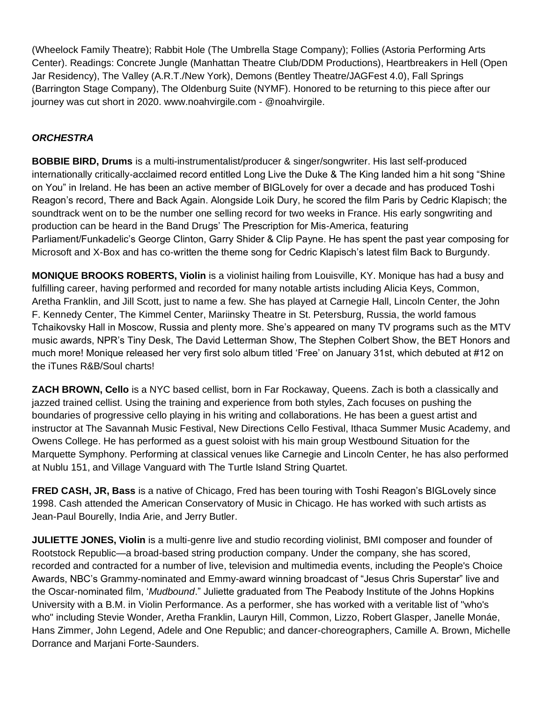(Wheelock Family Theatre); Rabbit Hole (The Umbrella Stage Company); Follies (Astoria Performing Arts Center). Readings: Concrete Jungle (Manhattan Theatre Club/DDM Productions), Heartbreakers in Hell (Open Jar Residency), The Valley (A.R.T./New York), Demons (Bentley Theatre/JAGFest 4.0), Fall Springs (Barrington Stage Company), The Oldenburg Suite (NYMF). Honored to be returning to this piece after our journey was cut short in 2020. www.noahvirgile.com - @noahvirgile.

## *ORCHESTRA*

**BOBBIE BIRD, Drums** is a multi-instrumentalist/producer & singer/songwriter. His last self-produced internationally critically-acclaimed record entitled Long Live the Duke & The King landed him a hit song "Shine on You" in Ireland. He has been an active member of BIGLovely for over a decade and has produced Toshi Reagon's record, There and Back Again. Alongside Loik Dury, he scored the film Paris by Cedric Klapisch; the soundtrack went on to be the number one selling record for two weeks in France. His early songwriting and production can be heard in the Band Drugs' The Prescription for Mis-America, featuring Parliament/Funkadelic's George Clinton, Garry Shider & Clip Payne. He has spent the past year composing for Microsoft and X-Box and has co-written the theme song for Cedric Klapisch's latest film Back to Burgundy.

**MONIQUE BROOKS ROBERTS, Violin** is a violinist hailing from Louisville, KY. Monique has had a busy and fulfilling career, having performed and recorded for many notable artists including Alicia Keys, Common, Aretha Franklin, and Jill Scott, just to name a few. She has played at Carnegie Hall, Lincoln Center, the John F. Kennedy Center, The Kimmel Center, Mariinsky Theatre in St. Petersburg, Russia, the world famous Tchaikovsky Hall in Moscow, Russia and plenty more. She's appeared on many TV programs such as the MTV music awards, NPR's Tiny Desk, The David Letterman Show, The Stephen Colbert Show, the BET Honors and much more! Monique released her very first solo album titled 'Free' on January 31st, which debuted at #12 on the iTunes R&B/Soul charts!

**ZACH BROWN, Cello** is a NYC based cellist, born in Far Rockaway, Queens. Zach is both a classically and jazzed trained cellist. Using the training and experience from both styles, Zach focuses on pushing the boundaries of progressive cello playing in his writing and collaborations. He has been a guest artist and instructor at The Savannah Music Festival, New Directions Cello Festival, Ithaca Summer Music Academy, and Owens College. He has performed as a guest soloist with his main group Westbound Situation for the Marquette Symphony. Performing at classical venues like Carnegie and Lincoln Center, he has also performed at Nublu 151, and Village Vanguard with The Turtle Island String Quartet.

**FRED CASH, JR, Bass** is a native of Chicago, Fred has been touring with Toshi Reagon's BIGLovely since 1998. Cash attended the American Conservatory of Music in Chicago. He has worked with such artists as Jean-Paul Bourelly, India Arie, and Jerry Butler.

**JULIETTE JONES, Violin** is a multi-genre live and studio recording violinist, BMI composer and founder of Rootstock Republic—a broad-based string production company. Under the company, she has scored, recorded and contracted for a number of live, television and multimedia events, including the People's Choice Awards, NBC's Grammy-nominated and Emmy-award winning broadcast of "Jesus Chris Superstar" live and the Oscar-nominated film, '*Mudbound*." Juliette graduated from The Peabody Institute of the Johns Hopkins University with a B.M. in Violin Performance. As a performer, she has worked with a veritable list of "who's who" including Stevie Wonder, Aretha Franklin, Lauryn Hill, Common, Lizzo, Robert Glasper, Janelle Monáe, Hans Zimmer, John Legend, Adele and One Republic; and dancer-choreographers, Camille A. Brown, Michelle Dorrance and Marjani Forte-Saunders.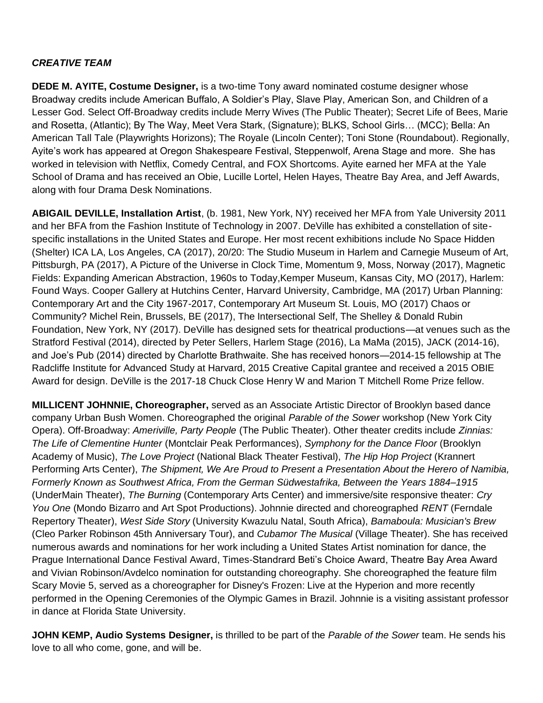## *CREATIVE TEAM*

**DEDE M. AYITE, Costume Designer,** is a two-time Tony award nominated costume designer whose Broadway credits include American Buffalo, A Soldier's Play, Slave Play, American Son, and Children of a Lesser God. Select Off-Broadway credits include Merry Wives (The Public Theater); Secret Life of Bees, Marie and Rosetta, (Atlantic); By The Way, Meet Vera Stark, (Signature); BLKS, School Girls… (MCC); Bella: An American Tall Tale (Playwrights Horizons); The Royale (Lincoln Center); Toni Stone (Roundabout). Regionally, Ayite's work has appeared at Oregon Shakespeare Festival, Steppenwolf, Arena Stage and more. She has worked in television with Netflix, Comedy Central, and FOX Shortcoms. Ayite earned her MFA at the Yale School of Drama and has received an Obie, Lucille Lortel, Helen Hayes, Theatre Bay Area, and Jeff Awards, along with four Drama Desk Nominations.

**ABIGAIL DEVILLE, Installation Artist**, (b. 1981, New York, NY) received her MFA from Yale University 2011 and her BFA from the Fashion Institute of Technology in 2007. DeVille has exhibited a constellation of sitespecific installations in the United States and Europe. Her most recent exhibitions include No Space Hidden (Shelter) ICA LA, Los Angeles, CA (2017), 20/20: The Studio Museum in Harlem and Carnegie Museum of Art, Pittsburgh, PA (2017), A Picture of the Universe in Clock Time, Momentum 9, Moss, Norway (2017), Magnetic Fields: Expanding American Abstraction, 1960s to Today,Kemper Museum, Kansas City, MO (2017), Harlem: Found Ways. Cooper Gallery at Hutchins Center, Harvard University, Cambridge, MA (2017) Urban Planning: Contemporary Art and the City 1967-2017, Contemporary Art Museum St. Louis, MO (2017) Chaos or Community? Michel Rein, Brussels, BE (2017), The Intersectional Self, The Shelley & Donald Rubin Foundation, New York, NY (2017). DeVille has designed sets for theatrical productions—at venues such as the Stratford Festival (2014), directed by Peter Sellers, Harlem Stage (2016), La MaMa (2015), JACK (2014-16), and Joe's Pub (2014) directed by Charlotte Brathwaite. She has received honors—2014-15 fellowship at The Radcliffe Institute for Advanced Study at Harvard, 2015 Creative Capital grantee and received a 2015 OBIE Award for design. DeVille is the 2017-18 Chuck Close Henry W and Marion T Mitchell Rome Prize fellow.

**MILLICENT JOHNNIE, Choreographer,** served as an Associate Artistic Director of Brooklyn based dance company Urban Bush Women. Choreographed the original *Parable of the Sower* workshop (New York City Opera). Off-Broadway: *Ameriville, Party People* (The Public Theater). Other theater credits include *Zinnias: The Life of Clementine Hunter* (Montclair Peak Performances), *Symphony for the Dance Floor* (Brooklyn Academy of Music), *The Love Project* (National Black Theater Festival), *The Hip Hop Project* (Krannert Performing Arts Center), *The Shipment, We Are Proud to Present a Presentation About the Herero of Namibia, Formerly Known as Southwest Africa, From the German Südwestafrika, Between the Years 1884–1915* (UnderMain Theater), *The Burning* (Contemporary Arts Center) and immersive/site responsive theater: *Cry You One* (Mondo Bizarro and Art Spot Productions). Johnnie directed and choreographed *RENT* (Ferndale Repertory Theater), *West Side Story* (University Kwazulu Natal, South Africa), *Bamaboula: Musician's Brew* (Cleo Parker Robinson 45th Anniversary Tour), and *Cubamor The Musical* (Village Theater). She has received numerous awards and nominations for her work including a United States Artist nomination for dance, the Prague International Dance Festival Award, Times-Standrard Beti's Choice Award, Theatre Bay Area Award and Vivian Robinson/Avdelco nomination for outstanding choreography. She choreographed the feature film Scary Movie 5, served as a choreographer for Disney's Frozen: Live at the Hyperion and more recently performed in the Opening Ceremonies of the Olympic Games in Brazil. Johnnie is a visiting assistant professor in dance at Florida State University.

**JOHN KEMP, Audio Systems Designer,** is thrilled to be part of the *Parable of the Sower* team. He sends his love to all who come, gone, and will be.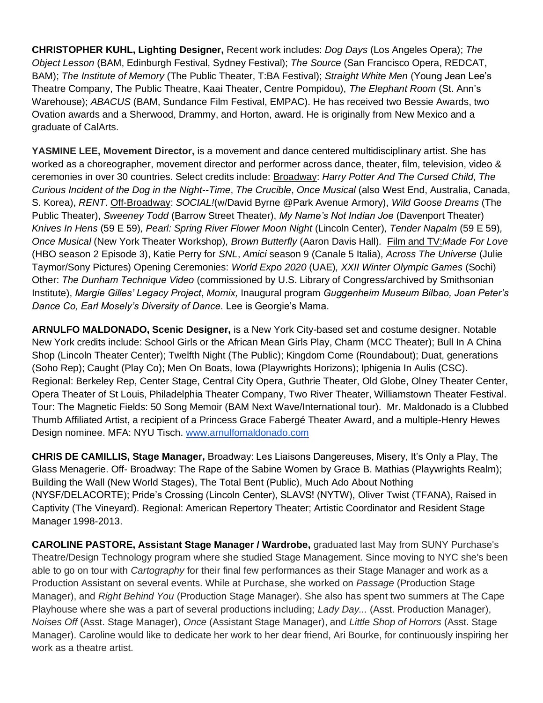**CHRISTOPHER KUHL, Lighting Designer,** Recent work includes: *Dog Days* (Los Angeles Opera); *The Object Lesson* (BAM, Edinburgh Festival, Sydney Festival); *The Source* (San Francisco Opera, REDCAT, BAM); *The Institute of Memory* (The Public Theater, T:BA Festival); *Straight White Men* (Young Jean Lee's Theatre Company, The Public Theatre, Kaai Theater, Centre Pompidou), *The Elephant Room* (St. Ann's Warehouse); *ABACUS* (BAM, Sundance Film Festival, EMPAC). He has received two Bessie Awards, two Ovation awards and a Sherwood, Drammy, and Horton, award. He is originally from New Mexico and a graduate of CalArts.

**YASMINE LEE, Movement Director,** is a movement and dance centered multidisciplinary artist. She has worked as a choreographer, movement director and performer across dance, theater, film, television, video & ceremonies in over 30 countries. Select credits include: Broadway: *Harry Potter And The Cursed Child, The Curious Incident of the Dog in the Night--Time*, *The Crucible*, *Once Musical* (also West End, Australia, Canada, S. Korea), *RENT*. Off-Broadway: *SOCIAL!*(w/David Byrne @Park Avenue Armory), *Wild Goose Dreams* (The Public Theater), *Sweeney Todd* (Barrow Street Theater), *My Name's Not Indian Joe* (Davenport Theater) *Knives In Hens* (59 E 59)*, Pearl: Spring River Flower Moon Night* (Lincoln Center)*, Tender Napalm* (59 E 59)*, Once Musical* (New York Theater Workshop)*, Brown Butterfly* (Aaron Davis Hall)*.* Film and TV:*Made For Love*  (HBO season 2 Episode 3), Katie Perry for *SNL*, *Amici* season 9 (Canale 5 Italia), *Across The Universe* (Julie Taymor/Sony Pictures) Opening Ceremonies: *World Expo 2020* (UAE)*, XXII Winter Olympic Games* (Sochi) Other: *The Dunham Technique Video* (commissioned by U.S. Library of Congress/archived by Smithsonian Institute), *Margie Gilles' Legacy Project*, *Momix,* Inaugural program *Guggenheim Museum Bilbao, Joan Peter's Dance Co, Earl Mosely's Diversity of Dance.* Lee is Georgie's Mama.

**ARNULFO MALDONADO, Scenic Designer,** is a New York City-based set and costume designer. Notable New York credits include: School Girls or the African Mean Girls Play, Charm (MCC Theater); Bull In A China Shop (Lincoln Theater Center); Twelfth Night (The Public); Kingdom Come (Roundabout); Duat, generations (Soho Rep); Caught (Play Co); Men On Boats, Iowa (Playwrights Horizons); Iphigenia In Aulis (CSC). Regional: Berkeley Rep, Center Stage, Central City Opera, Guthrie Theater, Old Globe, Olney Theater Center, Opera Theater of St Louis, Philadelphia Theater Company, Two River Theater, Williamstown Theater Festival. Tour: The Magnetic Fields: 50 Song Memoir (BAM Next Wave/International tour). Mr. Maldonado is a Clubbed Thumb Affiliated Artist, a recipient of a Princess Grace Fabergé Theater Award, and a multiple-Henry Hewes Design nominee. MFA: NYU Tisch[.](https://na01.safelinks.protection.outlook.com/?url=http%3A%2F%2Fwww.arnulfomaldonado.com%2F&data=02%7C01%7CKaplanL%40unitedtalent.com%7C56bf70c3fb8d4e83c05908d4b296bbfe%7C4cb9240e2025488f97e77eb69335458a%7C1%7C0%7C636329807850748308&sdata=Wj4Q%2FdIpW48YNlmf9dklAzsRH%2FItOYJEPY%2FVw8BlGbU%3D&reserved=0) [www.arnulfomaldonado.com](https://na01.safelinks.protection.outlook.com/?url=http%3A%2F%2Fwww.arnulfomaldonado.com%2F&data=02%7C01%7CKaplanL%40unitedtalent.com%7C56bf70c3fb8d4e83c05908d4b296bbfe%7C4cb9240e2025488f97e77eb69335458a%7C1%7C0%7C636329807850748308&sdata=Wj4Q%2FdIpW48YNlmf9dklAzsRH%2FItOYJEPY%2FVw8BlGbU%3D&reserved=0)

**CHRIS DE CAMILLIS, Stage Manager,** Broadway: Les Liaisons Dangereuses, Misery, It's Only a Play, The Glass Menagerie. Off- Broadway: The Rape of the Sabine Women by Grace B. Mathias (Playwrights Realm); Building the Wall (New World Stages), The Total Bent (Public), Much Ado About Nothing (NYSF/DELACORTE); Pride's Crossing (Lincoln Center), SLAVS! (NYTW), Oliver Twist (TFANA), Raised in Captivity (The Vineyard). Regional: American Repertory Theater; Artistic Coordinator and Resident Stage Manager 1998-2013.

**CAROLINE PASTORE, Assistant Stage Manager / Wardrobe,** graduated last May from SUNY Purchase's Theatre/Design Technology program where she studied Stage Management. Since moving to NYC she's been able to go on tour with *Cartography* for their final few performances as their Stage Manager and work as a Production Assistant on several events. While at Purchase, she worked on *Passage* (Production Stage Manager), and *Right Behind You* (Production Stage Manager). She also has spent two summers at The Cape Playhouse where she was a part of several productions including; *Lady Day...* (Asst. Production Manager), *Noises Off* (Asst. Stage Manager), *Once* (Assistant Stage Manager), and *Little Shop of Horrors* (Asst. Stage Manager). Caroline would like to dedicate her work to her dear friend, Ari Bourke, for continuously inspiring her work as a theatre artist.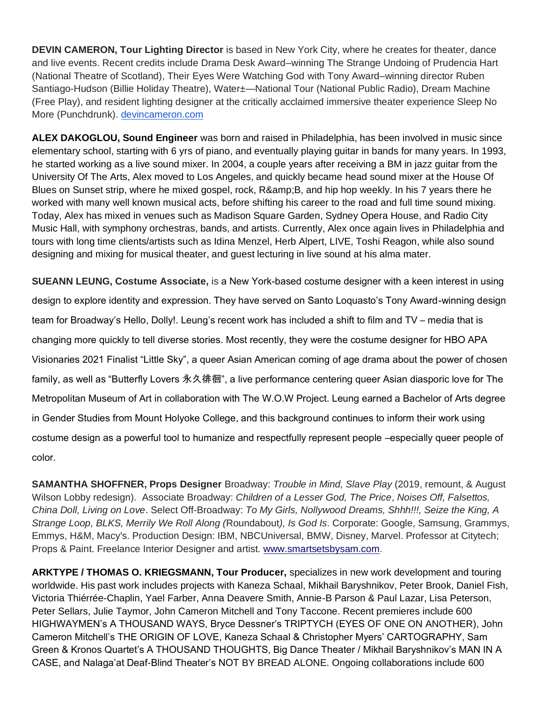**DEVIN CAMERON, Tour Lighting Director** is based in New York City, where he creates for theater, dance and live events. Recent credits include Drama Desk Award–winning The Strange Undoing of Prudencia Hart (National Theatre of Scotland), Their Eyes Were Watching God with Tony Award–winning director Ruben Santiago-Hudson (Billie Holiday Theatre), Water±—National Tour (National Public Radio), Dream Machine (Free Play), and resident lighting designer at the critically acclaimed immersive theater experience Sleep No More (Punchdrunk)[.](http://devincameron.com/) [devincameron.com](http://devincameron.com/)

**ALEX DAKOGLOU, Sound Engineer** was born and raised in Philadelphia, has been involved in music since elementary school, starting with 6 yrs of piano, and eventually playing guitar in bands for many years. In 1993, he started working as a live sound mixer. In 2004, a couple years after receiving a BM in jazz guitar from the University Of The Arts, Alex moved to Los Angeles, and quickly became head sound mixer at the House Of Blues on Sunset strip, where he mixed gospel, rock, R& B, and hip hop weekly. In his 7 years there he worked with many well known musical acts, before shifting his career to the road and full time sound mixing. Today, Alex has mixed in venues such as Madison Square Garden, Sydney Opera House, and Radio City Music Hall, with symphony orchestras, bands, and artists. Currently, Alex once again lives in Philadelphia and tours with long time clients/artists such as Idina Menzel, Herb Alpert, LIVE, Toshi Reagon, while also sound designing and mixing for musical theater, and guest lecturing in live sound at his alma mater.

**SUEANN LEUNG, Costume Associate,** is a New York-based costume designer with a keen interest in using design to explore identity and expression. They have served on Santo Loquasto's Tony Award-winning design team for Broadway's Hello, Dolly!. Leung's recent work has included a shift to film and TV – media that is changing more quickly to tell diverse stories. Most recently, they were the costume designer for HBO APA Visionaries 2021 Finalist "Little Sky", a queer Asian American coming of age drama about the power of chosen family, as well as "Butterfly Lovers 永久徘徊", a live performance centering queer Asian diasporic love for The Metropolitan Museum of Art in collaboration with The W.O.W Project. Leung earned a Bachelor of Arts degree in Gender Studies from Mount Holyoke College, and this background continues to inform their work using costume design as a powerful tool to humanize and respectfully represent people –especially queer people of color.

**SAMANTHA SHOFFNER, Props Designer** Broadway: *Trouble in Mind, Slave Play* (2019, remount, & August Wilson Lobby redesign)*.* Associate Broadway: *Children of a Lesser God, The Price*, *Noises Off, Falsettos, China Doll, Living on Love*. Select Off-Broadway: *To My Girls, Nollywood Dreams, Shhh!!!, Seize the King, A Strange Loop, BLKS, Merrily We Roll Along (*Roundabout*), Is God Is*. Corporate: Google, Samsung, Grammys, Emmys, H&M, Macy's. Production Design: IBM, NBCUniversal, BMW, Disney, Marvel. Professor at Citytech; Props & Paint. Freelance Interior Designer and artist. [www.smartsetsbysam.com.](http://www.smartsetsbysam.com/)

**ARKTYPE / THOMAS O. KRIEGSMANN, Tour Producer,** specializes in new work development and touring worldwide. His past work includes projects with Kaneza Schaal, Mikhail Baryshnikov, Peter Brook, Daniel Fish, Victoria Thiérrée-Chaplin, Yael Farber, Anna Deavere Smith, Annie-B Parson & Paul Lazar, Lisa Peterson, Peter Sellars, Julie Taymor, John Cameron Mitchell and Tony Taccone. Recent premieres include 600 HIGHWAYMEN's A THOUSAND WAYS, Bryce Dessner's TRIPTYCH (EYES OF ONE ON ANOTHER), John Cameron Mitchell's THE ORIGIN OF LOVE, Kaneza Schaal & Christopher Myers' CARTOGRAPHY, Sam Green & Kronos Quartet's A THOUSAND THOUGHTS, Big Dance Theater / Mikhail Baryshnikov's MAN IN A CASE, and Nalaga'at Deaf-Blind Theater's NOT BY BREAD ALONE. Ongoing collaborations include 600